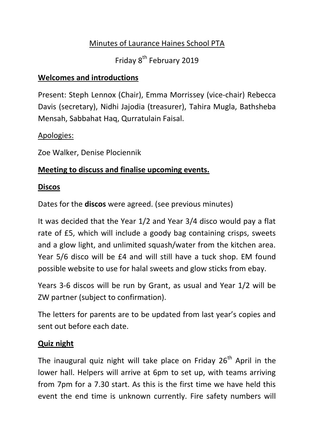## Minutes of Laurance Haines School PTA

Friday 8<sup>th</sup> February 2019

## **Welcomes and introductions**

Present: Steph Lennox (Chair), Emma Morrissey (vice-chair) Rebecca Davis (secretary), Nidhi Jajodia (treasurer), Tahira Mugla, Bathsheba Mensah, Sabbahat Haq, Qurratulain Faisal.

#### Apologies:

Zoe Walker, Denise Plociennik

## **Meeting to discuss and finalise upcoming events.**

#### **Discos**

Dates for the **discos** were agreed. (see previous minutes)

It was decided that the Year 1/2 and Year 3/4 disco would pay a flat rate of £5, which will include a goody bag containing crisps, sweets and a glow light, and unlimited squash/water from the kitchen area. Year 5/6 disco will be £4 and will still have a tuck shop. EM found possible website to use for halal sweets and glow sticks from ebay.

Years 3-6 discos will be run by Grant, as usual and Year 1/2 will be ZW partner (subject to confirmation).

The letters for parents are to be updated from last year's copies and sent out before each date.

#### **Quiz night**

The inaugural quiz night will take place on Friday  $26<sup>th</sup>$  April in the lower hall. Helpers will arrive at 6pm to set up, with teams arriving from 7pm for a 7.30 start. As this is the first time we have held this event the end time is unknown currently. Fire safety numbers will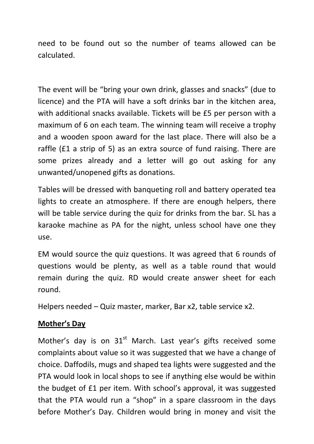need to be found out so the number of teams allowed can be calculated.

The event will be "bring your own drink, glasses and snacks" (due to licence) and the PTA will have a soft drinks bar in the kitchen area, with additional snacks available. Tickets will be £5 per person with a maximum of 6 on each team. The winning team will receive a trophy and a wooden spoon award for the last place. There will also be a raffle (£1 a strip of 5) as an extra source of fund raising. There are some prizes already and a letter will go out asking for any unwanted/unopened gifts as donations.

Tables will be dressed with banqueting roll and battery operated tea lights to create an atmosphere. If there are enough helpers, there will be table service during the quiz for drinks from the bar. SL has a karaoke machine as PA for the night, unless school have one they use.

EM would source the quiz questions. It was agreed that 6 rounds of questions would be plenty, as well as a table round that would remain during the quiz. RD would create answer sheet for each round.

Helpers needed – Quiz master, marker, Bar x2, table service x2.

#### **Mother's Day**

Mother's day is on  $31<sup>st</sup>$  March. Last year's gifts received some complaints about value so it was suggested that we have a change of choice. Daffodils, mugs and shaped tea lights were suggested and the PTA would look in local shops to see if anything else would be within the budget of £1 per item. With school's approval, it was suggested that the PTA would run a "shop" in a spare classroom in the days before Mother's Day. Children would bring in money and visit the